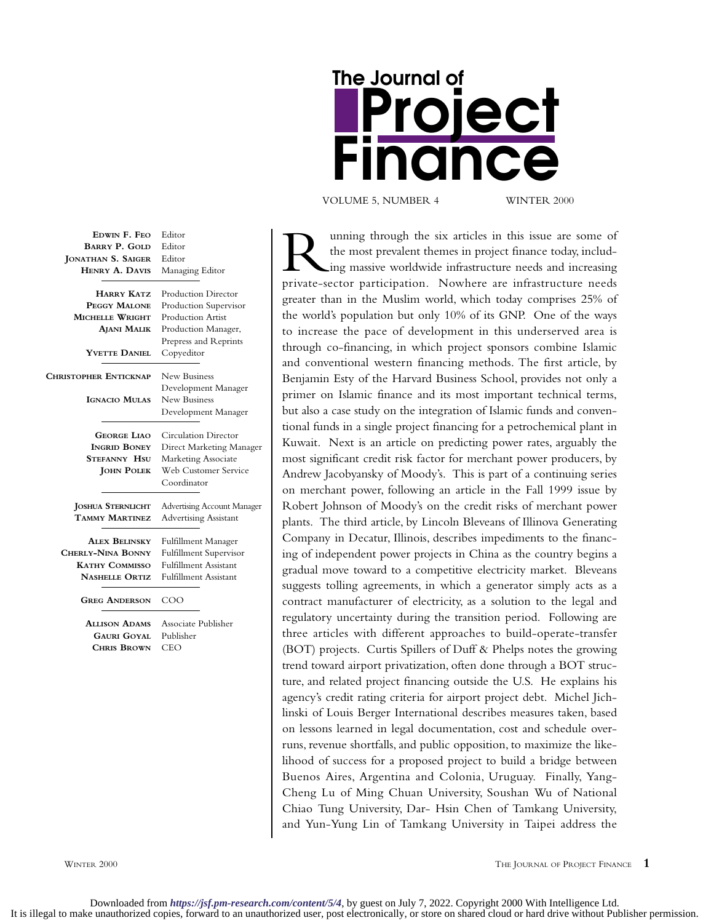| The Journal of |                            |  |
|----------------|----------------------------|--|
| Proie          |                            |  |
|                | FINONC(<br>$\qquad \qquad$ |  |
|                |                            |  |

VOLUME 5, NUMBER 4 WINTER 2000

| EDWIN F. FEO                                                                                       | Editor                                                                                                                                 |
|----------------------------------------------------------------------------------------------------|----------------------------------------------------------------------------------------------------------------------------------------|
| <b>BARRY P. GOLD</b>                                                                               | Editor                                                                                                                                 |
| <b>JONATHAN S. SAIGER</b>                                                                          | Editor                                                                                                                                 |
| HENRY A. DAVIS                                                                                     | Managing Editor                                                                                                                        |
| <b>HARRY KATZ</b><br>PEGGY MALONE<br>MICHELLE WRIGHT<br><b>AJANI MALIK</b><br><b>YVETTE DANIEL</b> | <b>Production Director</b><br>Production Supervisor<br>Production Artist<br>Production Manager,<br>Prepress and Reprints<br>Copyeditor |
| <b>CHRISTOPHER ENTICKNAP</b><br><b>IGNACIO MULAS</b>                                               | New Business<br>Development Manager<br>New Business<br>Development Manager                                                             |
| <b>GEORGE LIAO</b><br><b>INGRID BONEY</b><br><b>STEFANNY HSU</b><br><b>JOHN POLEK</b>              | Circulation Director<br>Direct Marketing Manager<br>Marketing Associate<br>Web Customer Service<br>Coordinator                         |
| <b>JOSHUA STERNLICHT</b>                                                                           | <b>Advertising Account Manager</b>                                                                                                     |
| TAMMY MARTINEZ                                                                                     | <b>Advertising Assistant</b>                                                                                                           |
| <b>ALEX BELINSKY</b>                                                                               | Fulfillment Manager                                                                                                                    |
| <b>CHERLY-NINA BONNY</b>                                                                           | Fulfillment Supervisor                                                                                                                 |
| <b>KATHY COMMISSO</b>                                                                              | <b>Fulfillment Assistant</b>                                                                                                           |
| <b>NASHELLE ORTIZ</b>                                                                              | <b>Fulfillment Assistant</b>                                                                                                           |
| <b>GREG ANDERSON</b>                                                                               | COO                                                                                                                                    |
| <b>ALLISON ADAMS</b>                                                                               | Associate Publisher                                                                                                                    |
| <b>GAURI GOYAL</b>                                                                                 | Publisher                                                                                                                              |
| <b>CHRIS BROWN</b>                                                                                 | CEO                                                                                                                                    |

Unning through the six articles in this issue are some of<br>the most prevalent themes in project finance today, includ-<br>ing massive worldwide infrastructure needs and increasing<br>private-sector participation. Nowhere are infr the most prevalent themes in project finance today, including massive worldwide infrastructure needs and increasing private-sector participation. Nowhere are infrastructure needs greater than in the Muslim world, which today comprises 25% of the world's population but only 10% of its GNP. One of the ways to increase the pace of development in this underserved area is through co-financing, in which project sponsors combine Islamic and conventional western financing methods. The first article, by Benjamin Esty of the Harvard Business School, provides not only a primer on Islamic finance and its most important technical terms, but also a case study on the integration of Islamic funds and conventional funds in a single project financing for a petrochemical plant in Kuwait. Next is an article on predicting power rates, arguably the most significant credit risk factor for merchant power producers, by Andrew Jacobyansky of Moody's. This is part of a continuing series on merchant power, following an article in the Fall 1999 issue by Robert Johnson of Moody's on the credit risks of merchant power plants. The third article, by Lincoln Bleveans of Illinova Generating Company in Decatur, Illinois, describes impediments to the financing of independent power projects in China as the country begins a gradual move toward to a competitive electricity market. Bleveans suggests tolling agreements, in which a generator simply acts as a contract manufacturer of electricity, as a solution to the legal and regulatory uncertainty during the transition period. Following are three articles with different approaches to build-operate-transfer (BOT) projects. Curtis Spillers of Duff & Phelps notes the growing trend toward airport privatization, often done through a BOT structure, and related project financing outside the U.S. He explains his agency's credit rating criteria for airport project debt. Michel Jichlinski of Louis Berger International describes measures taken, based on lessons learned in legal documentation, cost and schedule overruns, revenue shortfalls, and public opposition, to maximize the likelihood of success for a proposed project to build a bridge between Buenos Aires, Argentina and Colonia, Uruguay. Finally, Yang-Cheng Lu of Ming Chuan University, Soushan Wu of National Chiao Tung University, Dar- Hsin Chen of Tamkang University, and Yun-Yung Lin of Tamkang University in Taipei address the